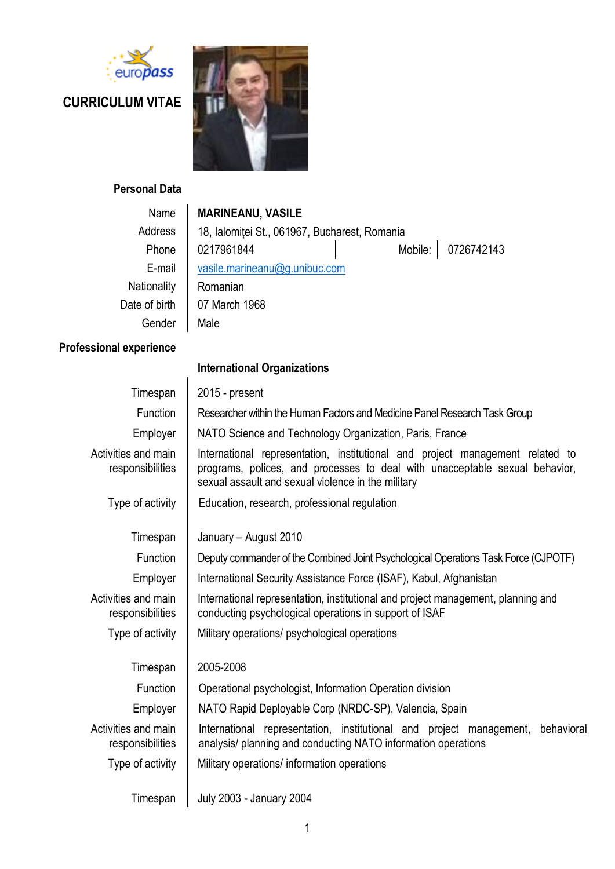

# **CURRICULUM VITAE**



### **Personal Data**

| Name          | <b>MARINEANU, VASILE</b>                      |  |                    |
|---------------|-----------------------------------------------|--|--------------------|
| Address       | 18, Ialomiței St., 061967, Bucharest, Romania |  |                    |
| Phone         | 0217961844                                    |  | Mobile: 0726742143 |
| E-mail        | vasile.marineanu@g.unibuc.com                 |  |                    |
| Nationality   | Romanian                                      |  |                    |
| Date of birth | 07 March 1968                                 |  |                    |
| Gender        | Male                                          |  |                    |
|               |                                               |  |                    |

## **Professional experience**

|                                         | <b>International Organizations</b>                                                                                                                                                                                 |  |  |
|-----------------------------------------|--------------------------------------------------------------------------------------------------------------------------------------------------------------------------------------------------------------------|--|--|
| Timespan                                | 2015 - present                                                                                                                                                                                                     |  |  |
| Function                                | Researcher within the Human Factors and Medicine Panel Research Task Group                                                                                                                                         |  |  |
| Employer                                | NATO Science and Technology Organization, Paris, France                                                                                                                                                            |  |  |
| Activities and main<br>responsibilities | International representation, institutional and project management related to<br>programs, polices, and processes to deal with unacceptable sexual behavior,<br>sexual assault and sexual violence in the military |  |  |
| Type of activity                        | Education, research, professional regulation                                                                                                                                                                       |  |  |
| Timespan                                | January - August 2010                                                                                                                                                                                              |  |  |
| Function                                | Deputy commander of the Combined Joint Psychological Operations Task Force (CJPOTF)                                                                                                                                |  |  |
| Employer                                | International Security Assistance Force (ISAF), Kabul, Afghanistan                                                                                                                                                 |  |  |
| Activities and main<br>responsibilities | International representation, institutional and project management, planning and<br>conducting psychological operations in support of ISAF                                                                         |  |  |
| Type of activity                        | Military operations/ psychological operations                                                                                                                                                                      |  |  |
| Timespan                                | 2005-2008                                                                                                                                                                                                          |  |  |
| Function                                | Operational psychologist, Information Operation division                                                                                                                                                           |  |  |
| Employer                                | NATO Rapid Deployable Corp (NRDC-SP), Valencia, Spain                                                                                                                                                              |  |  |
| Activities and main<br>responsibilities | International representation, institutional and project management,<br>behavioral<br>analysis/ planning and conducting NATO information operations                                                                 |  |  |
| Type of activity                        | Military operations/ information operations                                                                                                                                                                        |  |  |
| Timespan                                | <b>July 2003 - January 2004</b>                                                                                                                                                                                    |  |  |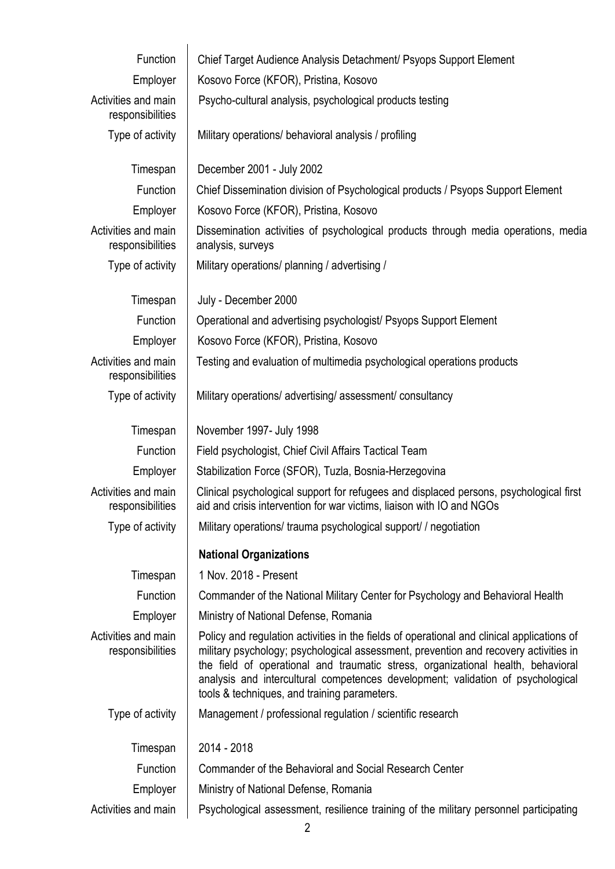| Function                                | Chief Target Audience Analysis Detachment/ Psyops Support Element                                                                                                                                                                                                                                                                                                                                         |
|-----------------------------------------|-----------------------------------------------------------------------------------------------------------------------------------------------------------------------------------------------------------------------------------------------------------------------------------------------------------------------------------------------------------------------------------------------------------|
| Employer                                | Kosovo Force (KFOR), Pristina, Kosovo                                                                                                                                                                                                                                                                                                                                                                     |
| Activities and main<br>responsibilities | Psycho-cultural analysis, psychological products testing                                                                                                                                                                                                                                                                                                                                                  |
| Type of activity                        | Military operations/ behavioral analysis / profiling                                                                                                                                                                                                                                                                                                                                                      |
| Timespan                                | December 2001 - July 2002                                                                                                                                                                                                                                                                                                                                                                                 |
| Function                                | Chief Dissemination division of Psychological products / Psyops Support Element                                                                                                                                                                                                                                                                                                                           |
| Employer                                | Kosovo Force (KFOR), Pristina, Kosovo                                                                                                                                                                                                                                                                                                                                                                     |
| Activities and main<br>responsibilities | Dissemination activities of psychological products through media operations, media<br>analysis, surveys                                                                                                                                                                                                                                                                                                   |
| Type of activity                        | Military operations/ planning / advertising /                                                                                                                                                                                                                                                                                                                                                             |
| Timespan                                | July - December 2000                                                                                                                                                                                                                                                                                                                                                                                      |
| Function                                | Operational and advertising psychologist/ Psyops Support Element                                                                                                                                                                                                                                                                                                                                          |
| Employer                                | Kosovo Force (KFOR), Pristina, Kosovo                                                                                                                                                                                                                                                                                                                                                                     |
| Activities and main<br>responsibilities | Testing and evaluation of multimedia psychological operations products                                                                                                                                                                                                                                                                                                                                    |
| Type of activity                        | Military operations/ advertising/ assessment/ consultancy                                                                                                                                                                                                                                                                                                                                                 |
| Timespan                                | November 1997- July 1998                                                                                                                                                                                                                                                                                                                                                                                  |
| Function                                | Field psychologist, Chief Civil Affairs Tactical Team                                                                                                                                                                                                                                                                                                                                                     |
| Employer                                | Stabilization Force (SFOR), Tuzla, Bosnia-Herzegovina                                                                                                                                                                                                                                                                                                                                                     |
| Activities and main<br>responsibilities | Clinical psychological support for refugees and displaced persons, psychological first<br>aid and crisis intervention for war victims, liaison with IO and NGOs                                                                                                                                                                                                                                           |
| Type of activity                        | Military operations/trauma psychological support//negotiation                                                                                                                                                                                                                                                                                                                                             |
|                                         | <b>National Organizations</b>                                                                                                                                                                                                                                                                                                                                                                             |
| Timespan                                | 1 Nov. 2018 - Present                                                                                                                                                                                                                                                                                                                                                                                     |
| Function                                | Commander of the National Military Center for Psychology and Behavioral Health                                                                                                                                                                                                                                                                                                                            |
| Employer                                | Ministry of National Defense, Romania                                                                                                                                                                                                                                                                                                                                                                     |
| Activities and main<br>responsibilities | Policy and regulation activities in the fields of operational and clinical applications of<br>military psychology; psychological assessment, prevention and recovery activities in<br>the field of operational and traumatic stress, organizational health, behavioral<br>analysis and intercultural competences development; validation of psychological<br>tools & techniques, and training parameters. |
| Type of activity                        | Management / professional regulation / scientific research                                                                                                                                                                                                                                                                                                                                                |
| Timespan                                | 2014 - 2018                                                                                                                                                                                                                                                                                                                                                                                               |
| Function                                | Commander of the Behavioral and Social Research Center                                                                                                                                                                                                                                                                                                                                                    |
| Employer                                | Ministry of National Defense, Romania                                                                                                                                                                                                                                                                                                                                                                     |
| Activities and main                     | Psychological assessment, resilience training of the military personnel participating                                                                                                                                                                                                                                                                                                                     |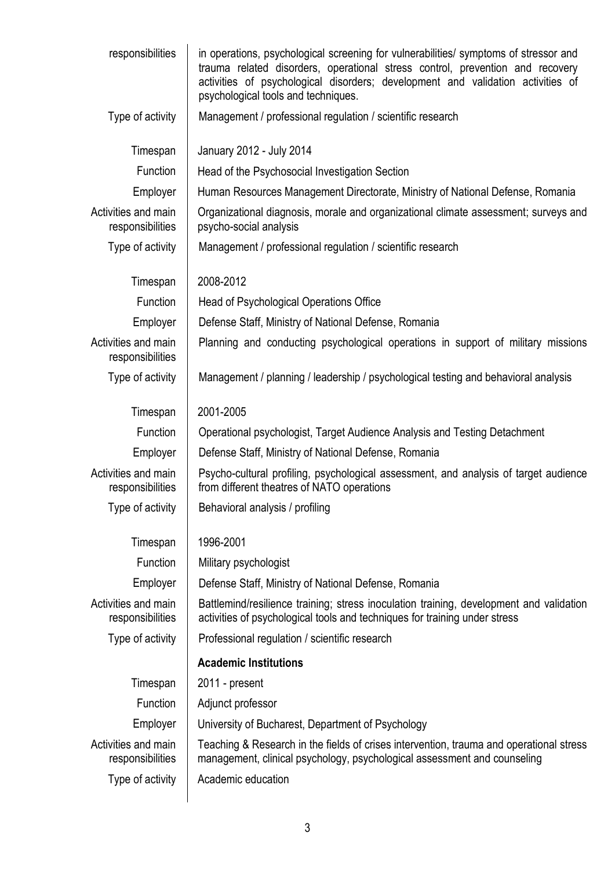| responsibilities                        | in operations, psychological screening for vulnerabilities/ symptoms of stressor and<br>trauma related disorders, operational stress control, prevention and recovery<br>activities of psychological disorders; development and validation activities of<br>psychological tools and techniques. |  |  |
|-----------------------------------------|-------------------------------------------------------------------------------------------------------------------------------------------------------------------------------------------------------------------------------------------------------------------------------------------------|--|--|
| Type of activity                        | Management / professional regulation / scientific research                                                                                                                                                                                                                                      |  |  |
| Timespan                                | January 2012 - July 2014                                                                                                                                                                                                                                                                        |  |  |
| Function                                | Head of the Psychosocial Investigation Section                                                                                                                                                                                                                                                  |  |  |
| Employer                                | Human Resources Management Directorate, Ministry of National Defense, Romania                                                                                                                                                                                                                   |  |  |
| Activities and main<br>responsibilities | Organizational diagnosis, morale and organizational climate assessment; surveys and<br>psycho-social analysis                                                                                                                                                                                   |  |  |
| Type of activity                        | Management / professional regulation / scientific research                                                                                                                                                                                                                                      |  |  |
| Timespan                                | 2008-2012                                                                                                                                                                                                                                                                                       |  |  |
| Function                                | Head of Psychological Operations Office                                                                                                                                                                                                                                                         |  |  |
| Employer                                | Defense Staff, Ministry of National Defense, Romania                                                                                                                                                                                                                                            |  |  |
| Activities and main<br>responsibilities | Planning and conducting psychological operations in support of military missions                                                                                                                                                                                                                |  |  |
| Type of activity                        | Management / planning / leadership / psychological testing and behavioral analysis                                                                                                                                                                                                              |  |  |
| Timespan                                | 2001-2005                                                                                                                                                                                                                                                                                       |  |  |
| Function                                | Operational psychologist, Target Audience Analysis and Testing Detachment                                                                                                                                                                                                                       |  |  |
| Employer                                | Defense Staff, Ministry of National Defense, Romania                                                                                                                                                                                                                                            |  |  |
| Activities and main<br>responsibilities | Psycho-cultural profiling, psychological assessment, and analysis of target audience<br>from different theatres of NATO operations                                                                                                                                                              |  |  |
| Type of activity                        | Behavioral analysis / profiling                                                                                                                                                                                                                                                                 |  |  |
| Timespan                                | 1996-2001                                                                                                                                                                                                                                                                                       |  |  |
| Function                                | Military psychologist                                                                                                                                                                                                                                                                           |  |  |
| Employer                                | Defense Staff, Ministry of National Defense, Romania                                                                                                                                                                                                                                            |  |  |
| Activities and main<br>responsibilities | Battlemind/resilience training; stress inoculation training, development and validation<br>activities of psychological tools and techniques for training under stress                                                                                                                           |  |  |
| Type of activity                        | Professional regulation / scientific research                                                                                                                                                                                                                                                   |  |  |
|                                         | <b>Academic Institutions</b>                                                                                                                                                                                                                                                                    |  |  |
| Timespan                                | 2011 - present                                                                                                                                                                                                                                                                                  |  |  |
| Function                                | Adjunct professor                                                                                                                                                                                                                                                                               |  |  |
| Employer                                | University of Bucharest, Department of Psychology                                                                                                                                                                                                                                               |  |  |
| Activities and main<br>responsibilities | Teaching & Research in the fields of crises intervention, trauma and operational stress<br>management, clinical psychology, psychological assessment and counseling                                                                                                                             |  |  |
| Type of activity                        | Academic education                                                                                                                                                                                                                                                                              |  |  |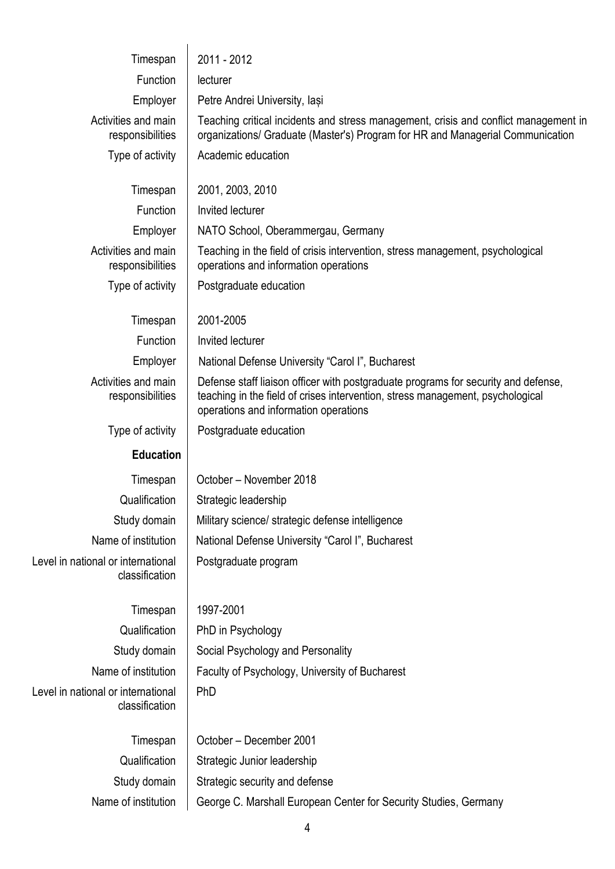| Timespan                                             | 2011 - 2012                                                                                                                                                                                                   |  |  |
|------------------------------------------------------|---------------------------------------------------------------------------------------------------------------------------------------------------------------------------------------------------------------|--|--|
| Function                                             | lecturer                                                                                                                                                                                                      |  |  |
| Employer                                             | Petre Andrei University, lasi                                                                                                                                                                                 |  |  |
| Activities and main<br>responsibilities              | Teaching critical incidents and stress management, crisis and conflict management in<br>organizations/ Graduate (Master's) Program for HR and Managerial Communication                                        |  |  |
| Type of activity                                     | Academic education                                                                                                                                                                                            |  |  |
| Timespan                                             | 2001, 2003, 2010                                                                                                                                                                                              |  |  |
| Function                                             | Invited lecturer                                                                                                                                                                                              |  |  |
| Employer                                             | NATO School, Oberammergau, Germany                                                                                                                                                                            |  |  |
| Activities and main<br>responsibilities              | Teaching in the field of crisis intervention, stress management, psychological<br>operations and information operations                                                                                       |  |  |
| Type of activity                                     | Postgraduate education                                                                                                                                                                                        |  |  |
| Timespan                                             | 2001-2005                                                                                                                                                                                                     |  |  |
| Function                                             | Invited lecturer                                                                                                                                                                                              |  |  |
| Employer                                             | National Defense University "Carol I", Bucharest                                                                                                                                                              |  |  |
| Activities and main<br>responsibilities              | Defense staff liaison officer with postgraduate programs for security and defense,<br>teaching in the field of crises intervention, stress management, psychological<br>operations and information operations |  |  |
| Type of activity                                     | Postgraduate education                                                                                                                                                                                        |  |  |
| <b>Education</b>                                     |                                                                                                                                                                                                               |  |  |
| Timespan                                             | October - November 2018                                                                                                                                                                                       |  |  |
| Qualification                                        | Strategic leadership                                                                                                                                                                                          |  |  |
| Study domain                                         | Military science/ strategic defense intelligence                                                                                                                                                              |  |  |
| Name of institution                                  | National Defense University "Carol I", Bucharest                                                                                                                                                              |  |  |
| Level in national or international<br>classification | Postgraduate program                                                                                                                                                                                          |  |  |
| Timespan                                             | 1997-2001                                                                                                                                                                                                     |  |  |
| Qualification                                        | PhD in Psychology                                                                                                                                                                                             |  |  |
| Study domain                                         | Social Psychology and Personality                                                                                                                                                                             |  |  |
| Name of institution                                  | Faculty of Psychology, University of Bucharest                                                                                                                                                                |  |  |
| Level in national or international<br>classification | PhD                                                                                                                                                                                                           |  |  |
| Timespan                                             | October - December 2001                                                                                                                                                                                       |  |  |
| Qualification                                        | Strategic Junior leadership                                                                                                                                                                                   |  |  |
| Study domain                                         | Strategic security and defense                                                                                                                                                                                |  |  |
| Name of institution                                  | George C. Marshall European Center for Security Studies, Germany                                                                                                                                              |  |  |
|                                                      | 4                                                                                                                                                                                                             |  |  |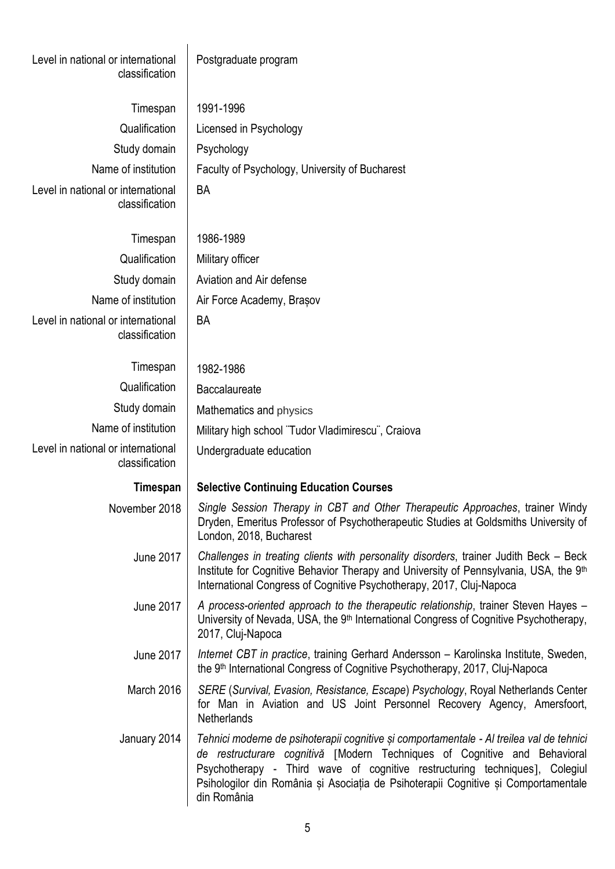| Level in national or international<br>classification | Postgraduate program                                                                                                                                                                                                                                                                                                                                      |
|------------------------------------------------------|-----------------------------------------------------------------------------------------------------------------------------------------------------------------------------------------------------------------------------------------------------------------------------------------------------------------------------------------------------------|
| Timespan                                             | 1991-1996                                                                                                                                                                                                                                                                                                                                                 |
| Qualification                                        | Licensed in Psychology                                                                                                                                                                                                                                                                                                                                    |
| Study domain                                         | Psychology                                                                                                                                                                                                                                                                                                                                                |
| Name of institution                                  | Faculty of Psychology, University of Bucharest                                                                                                                                                                                                                                                                                                            |
| Level in national or international<br>classification | BA                                                                                                                                                                                                                                                                                                                                                        |
| Timespan                                             | 1986-1989                                                                                                                                                                                                                                                                                                                                                 |
| Qualification                                        | Military officer                                                                                                                                                                                                                                                                                                                                          |
| Study domain                                         | Aviation and Air defense                                                                                                                                                                                                                                                                                                                                  |
| Name of institution                                  | Air Force Academy, Brasov                                                                                                                                                                                                                                                                                                                                 |
| Level in national or international<br>classification | <b>BA</b>                                                                                                                                                                                                                                                                                                                                                 |
| Timespan                                             | 1982-1986                                                                                                                                                                                                                                                                                                                                                 |
| Qualification                                        | Baccalaureate                                                                                                                                                                                                                                                                                                                                             |
| Study domain                                         | Mathematics and physics                                                                                                                                                                                                                                                                                                                                   |
| Name of institution                                  | Military high school "Tudor Vladimirescu", Craiova                                                                                                                                                                                                                                                                                                        |
| Level in national or international<br>classification | Undergraduate education                                                                                                                                                                                                                                                                                                                                   |
| Timespan                                             | <b>Selective Continuing Education Courses</b>                                                                                                                                                                                                                                                                                                             |
| November 2018                                        | Single Session Therapy in CBT and Other Therapeutic Approaches, trainer Windy<br>Dryden, Emeritus Professor of Psychotherapeutic Studies at Goldsmiths University of<br>London, 2018, Bucharest                                                                                                                                                           |
| <b>June 2017</b>                                     | Challenges in treating clients with personality disorders, trainer Judith Beck – Beck<br>Institute for Cognitive Behavior Therapy and University of Pennsylvania, USA, the 9th<br>International Congress of Cognitive Psychotherapy, 2017, Cluj-Napoca                                                                                                    |
| <b>June 2017</b>                                     | A process-oriented approach to the therapeutic relationship, trainer Steven Hayes –<br>University of Nevada, USA, the 9 <sup>th</sup> International Congress of Cognitive Psychotherapy,<br>2017, Cluj-Napoca                                                                                                                                             |
| June 2017                                            | Internet CBT in practice, training Gerhard Andersson - Karolinska Institute, Sweden,<br>the 9 <sup>th</sup> International Congress of Cognitive Psychotherapy, 2017, Cluj-Napoca                                                                                                                                                                          |
| March 2016                                           | SERE (Survival, Evasion, Resistance, Escape) Psychology, Royal Netherlands Center<br>for Man in Aviation and US Joint Personnel Recovery Agency, Amersfoort,<br>Netherlands                                                                                                                                                                               |
| January 2014                                         | Tehnici moderne de psihoterapii cognitive și comportamentale - Al treilea val de tehnici<br>de restructurare cognitivă [Modern Techniques of Cognitive and Behavioral<br>Psychotherapy - Third wave of cognitive restructuring techniques], Colegiul<br>Psihologilor din România și Asociația de Psihoterapii Cognitive și Comportamentale<br>din România |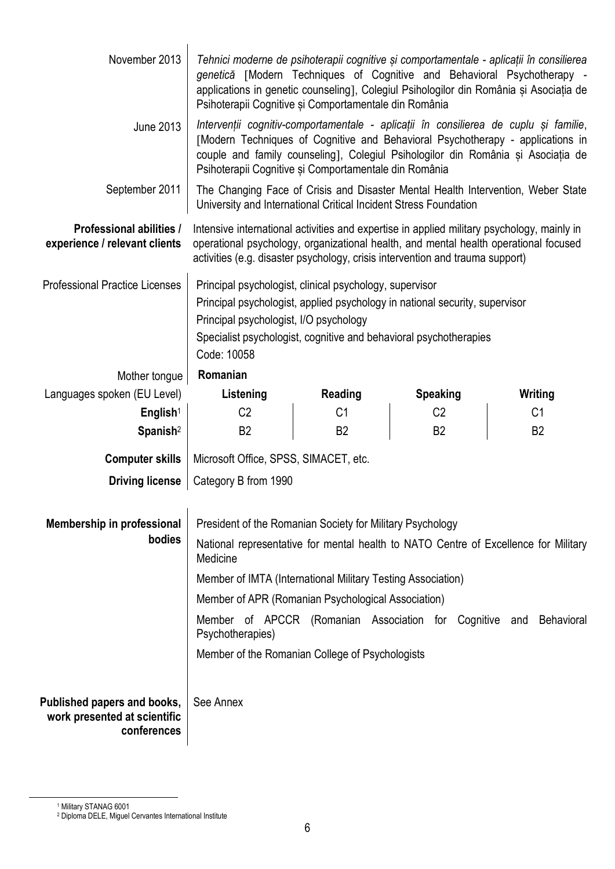| November 2013                                                              | Tehnici moderne de psihoterapii cognitive și comportamentale - aplicații în consilierea<br>genetică [Modern Techniques of Cognitive and Behavioral Psychotherapy -<br>applications in genetic counseling], Colegiul Psihologilor din România și Asociația de<br>Psihoterapii Cognitive și Comportamentale din România |                |                 |                |  |
|----------------------------------------------------------------------------|-----------------------------------------------------------------------------------------------------------------------------------------------------------------------------------------------------------------------------------------------------------------------------------------------------------------------|----------------|-----------------|----------------|--|
| <b>June 2013</b>                                                           | Intervenții cognitiv-comportamentale - aplicații în consilierea de cuplu și familie,<br>[Modern Techniques of Cognitive and Behavioral Psychotherapy - applications in<br>couple and family counseling], Colegiul Psihologilor din România și Asociația de<br>Psihoterapii Cognitive și Comportamentale din România   |                |                 |                |  |
| September 2011                                                             | The Changing Face of Crisis and Disaster Mental Health Intervention, Weber State<br>University and International Critical Incident Stress Foundation                                                                                                                                                                  |                |                 |                |  |
| Professional abilities /<br>experience / relevant clients                  | Intensive international activities and expertise in applied military psychology, mainly in<br>operational psychology, organizational health, and mental health operational focused<br>activities (e.g. disaster psychology, crisis intervention and trauma support)                                                   |                |                 |                |  |
| <b>Professional Practice Licenses</b>                                      | Principal psychologist, clinical psychology, supervisor<br>Principal psychologist, applied psychology in national security, supervisor<br>Principal psychologist, I/O psychology<br>Specialist psychologist, cognitive and behavioral psychotherapies<br>Code: 10058                                                  |                |                 |                |  |
| Mother tongue                                                              | Romanian                                                                                                                                                                                                                                                                                                              |                |                 |                |  |
| Languages spoken (EU Level)                                                | Listening                                                                                                                                                                                                                                                                                                             | Reading        | <b>Speaking</b> | Writing        |  |
| English <sup>1</sup>                                                       | C <sub>2</sub>                                                                                                                                                                                                                                                                                                        | C <sub>1</sub> | C <sub>2</sub>  | C <sub>1</sub> |  |
| Spanish <sup>2</sup>                                                       | B <sub>2</sub>                                                                                                                                                                                                                                                                                                        | B <sub>2</sub> | B <sub>2</sub>  | B <sub>2</sub> |  |
| <b>Computer skills</b>                                                     | Microsoft Office, SPSS, SIMACET, etc.                                                                                                                                                                                                                                                                                 |                |                 |                |  |
| <b>Driving license</b>                                                     | Category B from 1990                                                                                                                                                                                                                                                                                                  |                |                 |                |  |
| Membership in professional                                                 | President of the Romanian Society for Military Psychology                                                                                                                                                                                                                                                             |                |                 |                |  |
| bodies                                                                     | National representative for mental health to NATO Centre of Excellence for Military<br>Medicine                                                                                                                                                                                                                       |                |                 |                |  |
|                                                                            | Member of IMTA (International Military Testing Association)                                                                                                                                                                                                                                                           |                |                 |                |  |
|                                                                            | Member of APR (Romanian Psychological Association)                                                                                                                                                                                                                                                                    |                |                 |                |  |
|                                                                            | Member of APCCR (Romanian Association for Cognitive and Behavioral<br>Psychotherapies)                                                                                                                                                                                                                                |                |                 |                |  |
|                                                                            | Member of the Romanian College of Psychologists                                                                                                                                                                                                                                                                       |                |                 |                |  |
| Published papers and books,<br>work presented at scientific<br>conferences | See Annex                                                                                                                                                                                                                                                                                                             |                |                 |                |  |

 $\overline{a}$ 

<sup>1</sup> Military STANAG 6001

<sup>2</sup> Diploma DELE, Miguel Cervantes International Institute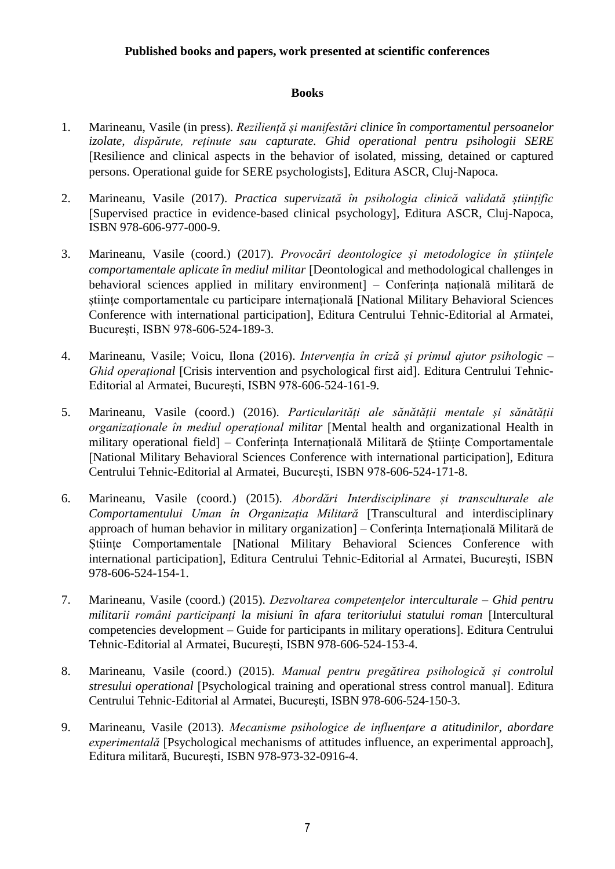#### **Published books and papers, work presented at scientific conferences**

#### **Books**

- 1. Marineanu, Vasile (in press). *Reziliență și manifestări clinice în comportamentul persoanelor izolate, dispărute, reținute sau capturate. Ghid operational pentru psihologii SERE* Resilience and clinical aspects in the behavior of isolated, missing, detained or captured persons. Operational guide for SERE psychologists, Editura ASCR, Cluj-Napoca.
- 2. Marineanu, Vasile (2017). *Practica supervizată în psihologia clinică validată științific* Supervised practice in evidence-based clinical psychology, Editura ASCR, Cluj-Napoca, ISBN 978-606-977-000-9.
- 3. Marineanu, Vasile (coord.) (2017). *Provocări deontologice și metodologice în științele comportamentale aplicate în mediul militar* Deontological and methodological challenges in behavioral sciences applied in military environment *–* Conferința națională militară de științe comportamentale cu participare internațională National Military Behavioral Sciences Conference with international participation, Editura Centrului Tehnic-Editorial al Armatei, Bucureşti, ISBN 978-606-524-189-3.
- 4. Marineanu, Vasile; Voicu, Ilona (2016). *Intervenția în criză și primul ajutor psihologic – Ghid operațional* Crisis intervention and psychological first aid. Editura Centrului Tehnic-Editorial al Armatei, Bucureşti, ISBN 978-606-524-161-9.
- 5. Marineanu, Vasile (coord.) (2016). *Particularități ale sănătății mentale și sănătății organizaționale în mediul operațional militar* [Mental health and organizational Health in military operational field *–* Conferința Internațională Militară de Științe Comportamentale [National Military Behavioral Sciences Conference with international participation]. Editura Centrului Tehnic-Editorial al Armatei, Bucureşti, ISBN 978-606-524-171-8.
- 6. Marineanu, Vasile (coord.) (2015). *Abordări Interdisciplinare și transculturale ale Comportamentului Uman în Organizația Militară* Transcultural and interdisciplinary approach of human behavior in military organization *–* Conferința Internațională Militară de Științe Comportamentale National Military Behavioral Sciences Conference with international participation, Editura Centrului Tehnic-Editorial al Armatei, Bucureşti, ISBN 978-606-524-154-1.
- 7. Marineanu, Vasile (coord.) (2015). *Dezvoltarea competenţelor interculturale – Ghid pentru militarii români participanţi la misiuni în afara teritoriului statului roman* Intercultural competencies development – Guide for participants in military operations]. Editura Centrului Tehnic-Editorial al Armatei, Bucureşti, ISBN 978-606-524-153-4.
- 8. Marineanu, Vasile (coord.) (2015). *Manual pentru pregătirea psihologică şi controlul stresului operational* [Psychological training and operational stress control manual]. Editura Centrului Tehnic-Editorial al Armatei, Bucureşti, ISBN 978-606-524-150-3.
- 9. Marineanu, Vasile (2013). *Mecanisme psihologice de influenţare a atitudinilor, abordare experimentală* [Psychological mechanisms of attitudes influence, an experimental approach], Editura militară, Bucureşti, ISBN 978-973-32-0916-4.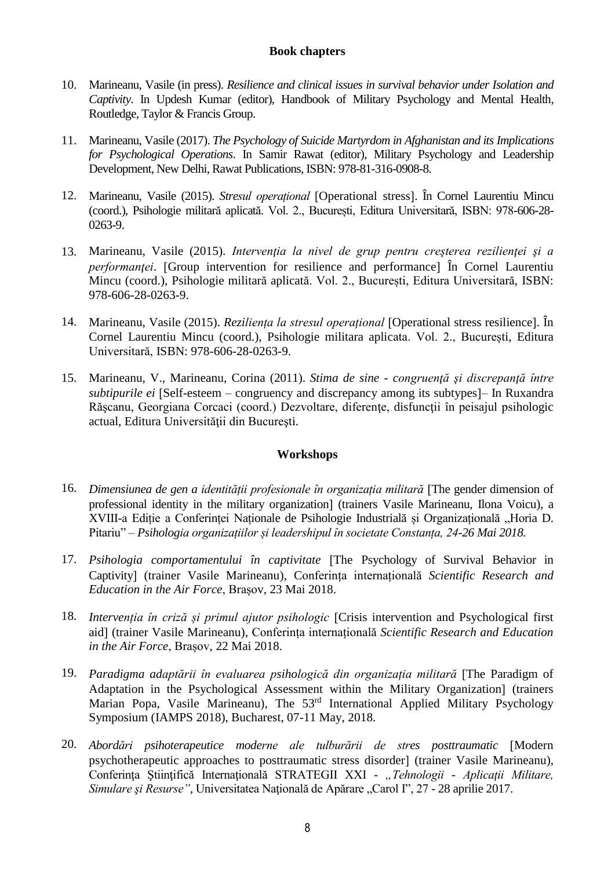#### **Book chapters**

- 10. Marineanu, Vasile (in press). *Resilience and clinical issues in survival behavior under Isolation and Captivity*. In Updesh Kumar (editor), Handbook of Military Psychology and Mental Health, Routledge, Taylor & Francis Group.
- 11. Marineanu, Vasile (2017). *The Psychology of Suicide Martyrdom in Afghanistan and its Implications for Psychological Operations*. In Samir Rawat (editor), Military Psychology and Leadership Development, New Delhi, Rawat Publications, ISBN: 978-81-316-0908-8.
- 12. Marineanu, Vasile (2015). *Stresul operațional* Operational stress. În Cornel Laurentiu Mincu (coord.), Psihologie militară aplicată. Vol. 2., București, Editura Universitară, ISBN: 978-606-28- 0263-9.
- 13. Marineanu, Vasile (2015). *Intervenţia la nivel de grup pentru creşterea rezilienţei şi a performantei*. [Group intervention for resilience and performance] In Cornel Laurentiu Mincu (coord.), Psihologie militară aplicată. Vol. 2., București, Editura Universitară, ISBN: 978-606-28-0263-9.
- 14. Marineanu, Vasile (2015). *Rezilienta la stresul operational* [Operational stress resilience]. În Cornel Laurentiu Mincu (coord.), Psihologie militara aplicata. Vol. 2., București, Editura Universitară, ISBN: 978-606-28-0263-9.
- 15. Marineanu, V., Marineanu, Corina (2011). *Stima de sine - congruenţă şi discrepanţă între subtipurile ei* [Self-esteem – congruency and discrepancy among its subtypes]– In Ruxandra Rășcanu, Georgiana Corcaci (coord.) Dezvoltare, diferențe, disfuncții în peisajul psihologic actual, Editura Universităţii din Bucureşti.

#### **Workshops**

- 16. *Dimensiunea de gen a identității profesionale în organizația militară* The gender dimension of professional identity in the military organization] (trainers Vasile Marineanu, Ilona Voicu), a XVIII-a Editie a Conferinței Naționale de Psihologie Industrială și Organizațională "Horia D. Pitariu" *– Psihologia organizațiilor și leadershipul în societate Constanța, 24-26 Mai 2018.*
- 17. *Psihologia comportamentului în captivitate* The Psychology of Survival Behavior in Captivity (trainer Vasile Marineanu), Conferința internațională *Scientific Research and Education in the Air Force*, Brașov, 23 Mai 2018.
- 18. *Intervenția în criză și primul ajutor psihologic* Crisis intervention and Psychological first aid] (trainer Vasile Marineanu), Conferința internațională *Scientific Research and Education in the Air Force*, Brașov, 22 Mai 2018.
- 19. *Paradigma adaptării în evaluarea psihologică din organizația militară* The Paradigm of Adaptation in the Psychological Assessment within the Military Organization (trainers Marian Popa, Vasile Marineanu)*,* The 53rd International Applied Military Psychology Symposium (IAMPS 2018), Bucharest, 07-11 May, 2018.
- 20. *Abordări psihoterapeutice moderne ale tulburării de stres posttraumatic* Modern psychotherapeutic approaches to posttraumatic stress disorder] (trainer Vasile Marineanu), Conferinţa Ştiinţifică Internaţională STRATEGII XXI - *"Tehnologii - Aplicaţii Militare, Simulare și Resurse"*, Universitatea Națională de Apărare "Carol I", 27 - 28 aprilie 2017.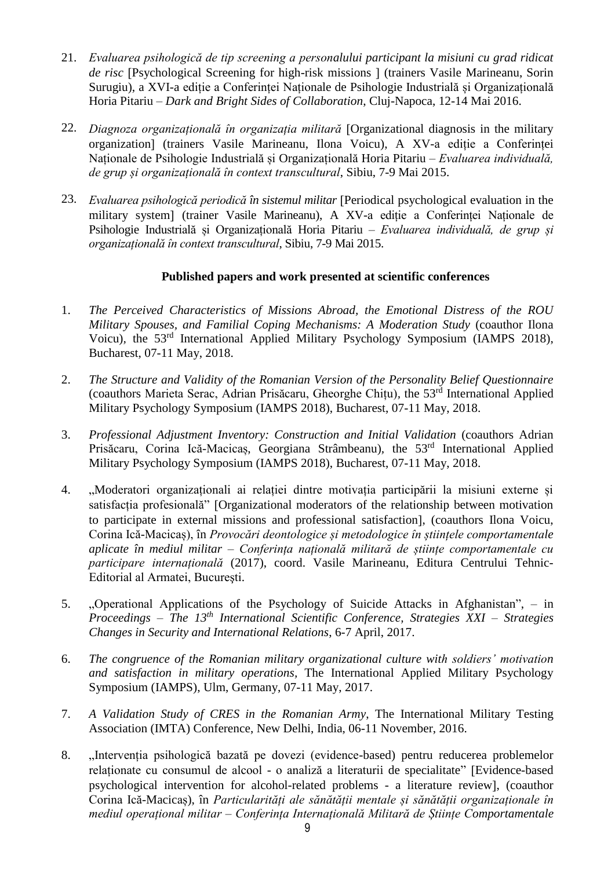- 21. *Evaluarea psihologică de tip screening a personalului participant la misiuni cu grad ridicat de risc* Psychological Screening for high-risk missions (trainers Vasile Marineanu, Sorin Surugiu), a XVI-a ediție a Conferinței Naționale de Psihologie Industrială și Organizațională Horia Pitariu – *Dark and Bright Sides of Collaboration*, Cluj-Napoca, 12-14 Mai 2016.
- 22. *Diagnoza organizațională în organizația militară* Organizational diagnosis in the military organization (trainers Vasile Marineanu, Ilona Voicu), A XV-a ediție a Conferinței Naționale de Psihologie Industrială și Organizațională Horia Pitariu – *Evaluarea individuală, de grup și organizațională în context transcultural*, Sibiu, 7-9 Mai 2015.
- 23. *Evaluarea psihologică periodică în sistemul militar* [Periodical psychological evaluation in the military system] (trainer Vasile Marineanu), A XV-a ediție a Conferinței Naționale de Psihologie Industrială și Organizațională Horia Pitariu – *Evaluarea individuală, de grup și organizațională în context transcultural*, Sibiu, 7-9 Mai 2015.

#### **Published papers and work presented at scientific conferences**

- 1. *The Perceived Characteristics of Missions Abroad, the Emotional Distress of the ROU Military Spouses, and Familial Coping Mechanisms: A Moderation Study* (coauthor Ilona Voicu)*,* the 53rd International Applied Military Psychology Symposium (IAMPS 2018), Bucharest, 07-11 May, 2018.
- 2. *The Structure and Validity of the Romanian Version of the Personality Belief Questionnaire* (coauthors Marieta Serac, Adrian Prisăcaru, Gheorghe Chițu)*,* the 53 rd International Applied Military Psychology Symposium (IAMPS 2018), Bucharest, 07-11 May, 2018.
- 3. *Professional Adjustment Inventory: Construction and Initial Validation* (coauthors Adrian Prisăcaru, Corina Ică-Macicaș, Georgiana Strâmbeanu)*,* the 53rd International Applied Military Psychology Symposium (IAMPS 2018), Bucharest, 07-11 May, 2018.
- 4. "Moderatori organizaționali ai relației dintre motivația participării la misiuni externe și satisfacția profesională" Organizational moderators of the relationship between motivation to participate in external missions and professional satisfaction. (coauthors Ilona Voicu, Corina Ică-Macicaș), în *Provocări deontologice și metodologice în științele comportamentale aplicate în mediul militar – Conferința națională militară de științe comportamentale cu participare internațională* (2017), coord. Vasile Marineanu, Editura Centrului Tehnic-Editorial al Armatei, Bucureşti.
- 5. "Operational Applications of the Psychology of Suicide Attacks in Afghanistan", in *Proceedings – The 13th International Scientific Conference, Strategies XXI – Strategies Changes in Security and International Relations*, 6-7 April, 2017.
- 6. *The congruence of the Romanian military organizational culture with soldiers' motivation and satisfaction in military operations,* The International Applied Military Psychology Symposium (IAMPS), Ulm, Germany, 07-11 May, 2017.
- 7. *A Validation Study of CRES in the Romanian Army*, The International Military Testing Association (IMTA) Conference, New Delhi, India, 06-11 November, 2016.
- 8. "Intervenția psihologică bazată pe dovezi (evidence-based) pentru reducerea problemelor relaționate cu consumul de alcool - o analiză a literaturii de specialitate" Evidence-based psychological intervention for alcohol-related problems - a literature review, (coauthor Corina Ică-Macicaș), în *Particularități ale sănătății mentale și sănătății organizaționale în mediul operațional militar – Conferința Internațională Militară de Științe Comportamentale*